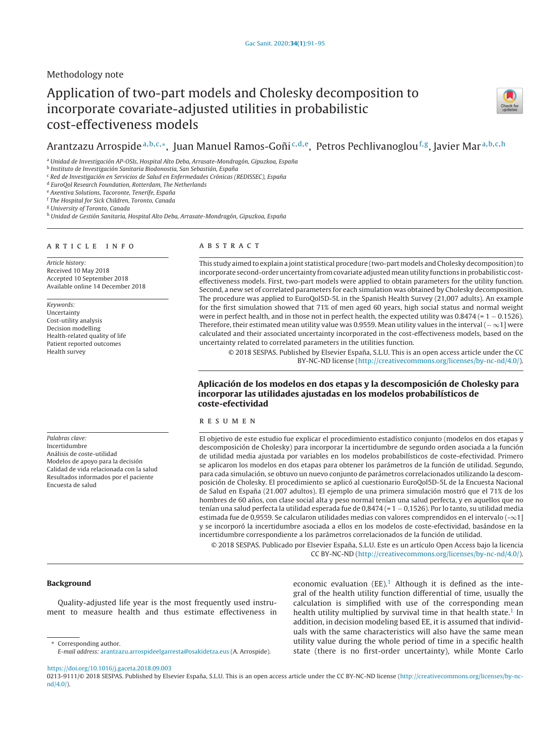## Methodology note

# Application of two-part models and Cholesky decomposition to incorporate covariate-adjusted utilities in probabilistic cost-effectiveness models



## Arantzazu Arrospide<sup>a, b, c,∗</sup>, Juan Manuel Ramos-Goñi<sup>c, d, e</sup>, Petros Pechlivanoglou<sup>f, g</sup>, Javier Mar<sup>a, b, c, h</sup>

<sup>a</sup> Unidad de Investigación AP-OSIs, Hospital Alto Deba, Arrasate-Mondragón, Gipuzkoa, España

<sup>b</sup> Instituto de Investigación Sanitaria Biodonostia, San Sebastián, España

<sup>c</sup> Red de Investigación en Servicios de Salud en Enfermedades Crónicas (REDISSEC), España

<sup>d</sup> EuroQol Research Foundation, Rotterdam, The Netherlands

e Axentiva Solutions, Tacoronte, Tenerife, España

<sup>f</sup> The Hospital for Sick Children, Toronto, Canada

<sup>g</sup> University of Toronto, Canada

h Unidad de Gestión Sanitaria, Hospital Alto Deba, Arrasate-Mondragón, Gipuzkoa, España

## a r t i c l e i n f o

Article history: Received 10 May 2018 Accepted 10 September 2018 Available online 14 December 2018

Keywords: Uncertainty Cost-utility analysis Decision modelling Health-related quality of life Patient reported outcomes Health survey

Palabras clave: Incertidumbre Análisis de coste-utilidad Modelos de apoyo para la decisión Calidad de vida relacionada con la salud Resultados informados por el paciente Encuesta de salud

## A B S T R A C T

This study aimed to explain a joint statistical procedure (two-partmodels and Cholesky decomposition)to incorporate second-order uncertainty from covariate adjusted mean utility functions in probabilistic costeffectiveness models. First, two-part models were applied to obtain parameters for the utility function. Second, a new set of correlated parameters for each simulation was obtained by Cholesky decomposition. The procedure was applied to EuroQol5D-5L in the Spanish Health Survey (21,007 adults). An example for the first simulation showed that 71% of men aged 60 years, high social status and normal weight were in perfect health, and in those not in perfect health, the expected utility was 0.8474 (= 1 − 0.1526). Therefore, their estimated mean utility value was 0.9559. Mean utility values in the interval (− ∞1] were calculated and their associated uncertainty incorporated in the cost-effectiveness models, based on the uncertainty related to correlated parameters in the utilities function.

© 2018 SESPAS. Published by Elsevier España, S.L.U. This is an open access article under the CC BY-NC-ND license [\(http://creativecommons.org/licenses/by-nc-nd/4.0/](http://creativecommons.org/licenses/by-nc-nd/4.0/)).

## **Aplicación de los modelos en dos etapas y la descomposición de Cholesky para incorporar las utilidades ajustadas en los modelos probabilísticos de coste-efectividad**

#### r e s u m e n

El objetivo de este estudio fue explicar el procedimiento estadístico conjunto (modelos en dos etapas y descomposición de Cholesky) para incorporar la incertidumbre de segundo orden asociada a la función de utilidad media ajustada por variables en los modelos probabilísticos de coste-efectividad. Primero se aplicaron los modelos en dos etapas para obtener los parámetros de la función de utilidad. Segundo, para cada simulación, se obtuvo un nuevo conjunto de parámetros correlacionados utilizando la descomposición de Cholesky. El procedimiento se aplicó al cuestionario EuroQol5D-5L de la Encuesta Nacional de Salud en España (21.007 adultos). El ejemplo de una primera simulación mostró que el 71% de los hombres de 60 años, con clase social alta y peso normal tenían una salud perfecta, y en aquellos que no tenían una salud perfecta la utilidad esperada fue de 0,8474 (= 1 − 0,1526). Por lo tanto, su utilidad media estimada fue de 0,9559. Se calcularon utilidades medias con valores comprendidos en el intervalo (-∞1] y se incorporó la incertidumbre asociada a ellos en los modelos de coste-efectividad, basándose en la incertidumbre correspondiente a los parámetros correlacionados de la función de utilidad.

© 2018 SESPAS. Publicado por Elsevier España, S.L.U. Este es un artículo Open Access bajo la licencia CC BY-NC-ND [\(http://creativecommons.org/licenses/by-nc-nd/4.0/](http://creativecommons.org/licenses/by-nc-nd/4.0/)).

## **Background**

Quality-adjusted life year is the most frequently used instrument to measure health and thus estimate effectiveness in

∗ Corresponding author. E-mail address: [arantzazu.arrospideelgarresta@osakidetza.eus](mailto:arantzazu.arrospideelgarresta@osakidetza.eus) (A. Arrospide). economic evaluation (EE).<sup>1</sup> Although it is defined as the integral of the health utility function differential of time, usually the calculation is simplified with use of the corresponding mean health utility multiplied by survival time in that health state.<sup>1</sup> In addition, in decision modeling based EE, it is assumed that individuals with the same characteristics will also have the same mean utility value during the whole period of time in a specific health state (there is no first-order uncertainty), while Monte Carlo

<https://doi.org/10.1016/j.gaceta.2018.09.003>

<sup>0213-9111/© 2018</sup> SESPAS. Published by Elsevier España, S.L.U. This is an open access article under the CC BY-NC-ND license [\(http://creativecommons.org/licenses/by-nc](http://creativecommons.org/licenses/by-nc-nd/4.0/)[nd/4.0/\)](http://creativecommons.org/licenses/by-nc-nd/4.0/).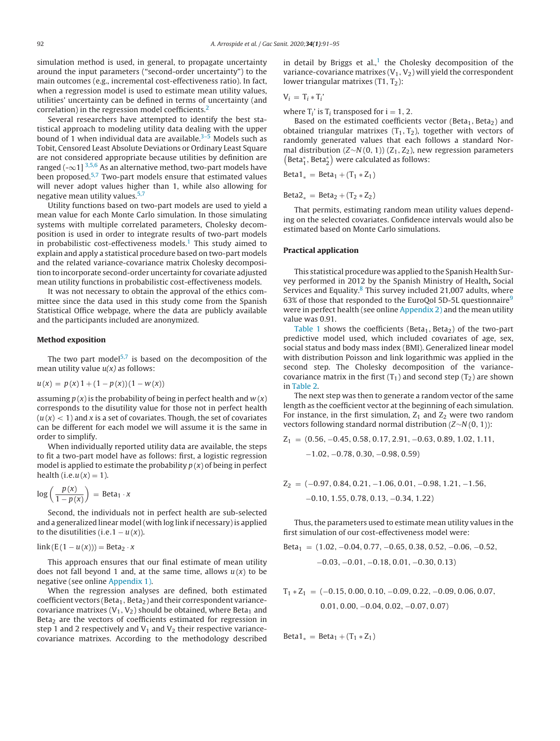simulation method is used, in general, to propagate uncertainty around the input parameters ("second-order uncertainty") to the main outcomes (e.g., incremental cost-effectiveness ratio). In fact, when a regression model is used to estimate mean utility values, utilities' uncertainty can be defined in terms of uncertainty (and correlation) in the regression model coefficients.[2](#page-4-0)

Several researchers have attempted to identify the best statistical approach to modeling utility data dealing with the upper bound of 1 when individual data are available. $3-5$  Models such as Tobit, Censored Least Absolute Deviations or Ordinary Least Square are not considered appropriate because utilities by definition are ranged (- $\infty$ 1] <sup>[3,5,6](#page-4-0)</sup> As an alternative method, two-part models have been proposed.<sup>[5,7](#page-4-0)</sup> Two-part models ensure that estimated values will never adopt values higher than 1, while also allowing for negative mean utility values.<sup>[5,7](#page-4-0)</sup>

Utility functions based on two-part models are used to yield a mean value for each Monte Carlo simulation. In those simulating systems with multiple correlated parameters, Cholesky decomposition is used in order to integrate results of two-part models in probabilistic cost-effectiveness models.<sup>1</sup> This study aimed to explain and apply a statistical procedure based on two-part models and the related variance-covariance matrix Cholesky decomposition to incorporate second-order uncertainty for covariate adjusted mean utility functions in probabilistic cost-effectiveness models.

It was not necessary to obtain the approval of the ethics committee since the data used in this study come from the Spanish Statistical Office webpage, where the data are publicly available and the participants included are anonymized.

#### **Method exposition**

The two part model<sup>5,7</sup> is based on the decomposition of the mean utility value  $u(x)$  as follows:

$$
u(x) = p(x)1 + (1 - p(x))(1 - w(x))
$$

assuming  $p(x)$  is the probability of being in perfect health and  $w(x)$ corresponds to the disutility value for those not in perfect health  $(u(x) < 1)$  and x is a set of covariates. Though, the set of covariates can be different for each model we will assume it is the same in order to simplify.

When individually reported utility data are available, the steps to fit a two-part model have as follows: first, a logistic regression model is applied to estimate the probability  $p(x)$  of being in perfect health (i.e. $u(x) = 1$ ).

$$
\log\left(\frac{p(x)}{1-p(x)}\right) = \text{Beta}_1 \cdot x
$$

Second, the individuals not in perfect health are sub-selected and a generalized linear model (with log link if necessary) is applied to the disutilities (i.e.1  $- u(x)$ ).

$$
\text{link}(E(1 - u(x))) = \text{Beta}_2 \cdot x
$$

This approach ensures that our final estimate of mean utility does not fall beyond 1 and, at the same time, allows  $u(x)$  to be negative (see online [Appendix](#page-4-0) [1\).](#page-4-0)

When the regression analyses are defined, both estimated coefficient vectors (Beta<sub>1</sub>, Beta<sub>2</sub>) and their correspondent variancecovariance matrixes ( $V_1, V_2$ ) should be obtained, where Beta<sub>1</sub> and Beta<sub>2</sub> are the vectors of coefficients estimated for regression in step 1 and 2 respectively and  $V_1$  and  $V_2$  their respective variancecovariance matrixes. According to the methodology described in detail by Briggs et al.,<sup>1</sup> the Cholesky decomposition of the variance-covariance matrixes  $(V_1,V_2)$  will yield the correspondent lower triangular matrixes  $(T1, T<sub>2</sub>)$ :

## $V_i = T_i * T_i'$

where  $T_i$ ' is  $T_i$  transposed for  $i = 1, 2$ .

Based on the estimated coefficients vector (Beta<sub>1</sub>, Beta<sub>2</sub>) and obtained triangular matrixes  $(T_1, T_2)$ , together with vectors of randomly generated values that each follows a standard Normal distribution ( $Z~N(0, 1)$ ) ( $Z_1, Z_2$ ), new regression parameters  $(\text{Beta}_1^*, \text{Beta}_2^*)$  were calculated as follows:

$$
Beta1_* = Beta_1 + (T_1 * Z_1)
$$

 $Beta2_* = Beta2 + (T_2 * Z_2)$ 

That permits, estimating random mean utility values depending on the selected covariates. Confidence intervals would also be estimated based on Monte Carlo simulations.

#### **Practical application**

This statistical procedure was applied to the Spanish Health Survey performed in 2012 by the Spanish Ministry of Health**,** Social Services and Equality. $8$  This survey included 21,007 adults, where 63% of those that responded to the EuroQol 5D-5L questionnaire $9$ were in perfect health (see online [Appendix](#page-4-0) [2\)](#page-4-0) and the mean utility value was 0.91.

[Table](#page-2-0) 1 shows the coefficients (Beta<sub>1</sub>, Beta<sub>2</sub>) of the two-part predictive model used, which included covariates of age, sex, social status and body mass index (BMI). Generalized linear model with distribution Poisson and link logarithmic was applied in the second step. The Cholesky decomposition of the variancecovariance matrix in the first  $(T_1)$  and second step  $(T_2)$  are shown in [Table](#page-3-0) 2.

The next step was then to generate a random vector of the same length as the coefficient vector at the beginning of each simulation. For instance, in the first simulation,  $Z_1$  and  $Z_2$  were two random vectors following standard normal distribution (Z∼N (0, 1)):

$$
Z_1 = (0.56, -0.45, 0.58, 0.17, 2.91, -0.63, 0.89, 1.02, 1.11, -1.02, -0.78, 0.30, -0.98, 0.59)
$$

$$
Z_2 = (-0.97, 0.84, 0.21, -1.06, 0.01, -0.98, 1.21, -1.56, -0.10, 1.55, 0.78, 0.13, -0.34, 1.22)
$$

Thus, the parameters used to estimate mean utility values in the first simulation of our cost-effectiveness model were:

Beta<sub>1</sub> = 
$$
(1.02, -0.04, 0.77, -0.65, 0.38, 0.52, -0.06, -0.52,
$$
  
-0.03, -0.01, -0.18, 0.01, -0.30, 0.13)

$$
T_1 * Z_1 = (-0.15, 0.00, 0.10, -0.09, 0.22, -0.09, 0.06, 0.07, 0.01, 0.00, -0.04, 0.02, -0.07, 0.07)
$$

 $Beta1_* = Beta1 + (T_1 * Z_1)$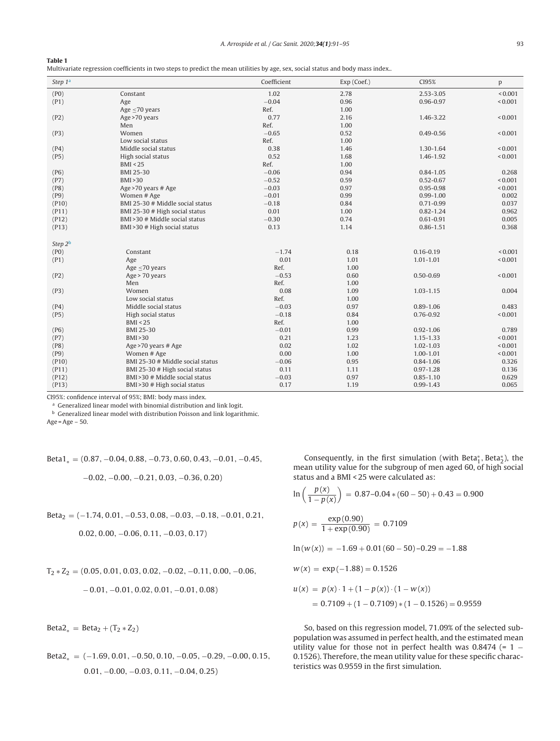#### <span id="page-2-0"></span>**Table 1**

Multivariate regression coefficients in two steps to predict the mean utilities by age, sex, social status and body mass index..

| Step 1ª          |                                                 | Coefficient     | Exp (Coef.)  | CI95%         | p              |
|------------------|-------------------------------------------------|-----------------|--------------|---------------|----------------|
| (PO)             | Constant                                        | 1.02            | 2.78         | 2.53-3.05     | ${}_{0.001}$   |
| (P1)             | Age                                             | $-0.04$         | 0.96         | 0.96-0.97     | < 0.001        |
|                  | Age $\leq$ 70 years                             | Ref.            | 1.00         |               |                |
| (P2)             | Age >70 years                                   | 0.77            | 2.16         | 1.46-3.22     | < 0.001        |
|                  | Men                                             | Ref.            | 1.00         |               |                |
| (P3)             | Women                                           | $-0.65$         | 0.52         | $0.49 - 0.56$ | < 0.001        |
|                  | Low social status                               | Ref.            | 1.00         |               |                |
| (P4)             | Middle social status                            | 0.38            | 1.46         | 1.30-1.64     | ${}_{0.001}$   |
| (P5)             | High social status                              | 0.52            | 1.68         | 1.46-1.92     | < 0.001        |
|                  | BMI < 25                                        | Ref.            | 1.00         |               |                |
| (P6)             | <b>BMI 25-30</b>                                | $-0.06$         | 0.94         | $0.84 - 1.05$ | 0.268          |
| (P7)             | BMI > 30                                        | $-0.52$         | 0.59         | $0.52 - 0.67$ | < 0.001        |
| (P8)             | Age >70 years # Age                             | $-0.03$         | 0.97         | $0.95 - 0.98$ | < 0.001        |
| (P9)             | Women # Age                                     | $-0.01$         | 0.99         | $0.99 - 1.00$ | 0.002          |
| (P10)            | BMI 25-30 # Middle social status                | $-0.18$         | 0.84         | $0.71 - 0.99$ | 0.037          |
| (P11)            | BMI 25-30 # High social status                  | 0.01            | 1.00         | $0.82 - 1.24$ | 0.962          |
| (P12)            | BMI > 30 # Middle social status                 | $-0.30$         | 0.74         | $0.61 - 0.91$ | 0.005          |
| (P13)            | BMI > 30 # High social status                   | 0.13            | 1.14         | $0.86 - 1.51$ | 0.368          |
|                  |                                                 |                 |              |               |                |
| Step $2^{\rm b}$ |                                                 |                 |              |               |                |
| (PO)             | Constant                                        | $-1.74$         | 0.18         | $0.16 - 0.19$ | ${}_{0.001}$   |
| (P1)             | Age                                             | 0.01            | 1.01         | $1.01 - 1.01$ | < 0.001        |
|                  | Age $\leq$ 70 years                             | Ref.            | 1.00         |               |                |
| (P2)             | Age > 70 years<br>Men                           | $-0.53$<br>Ref. | 0.60<br>1.00 | $0.50 - 0.69$ | ${}_{0.001}$   |
|                  | Women                                           | 0.08            | 1.09         | $1.03 - 1.15$ | 0.004          |
| (P3)             | Low social status                               | Ref.            | 1.00         |               |                |
|                  | Middle social status                            | $-0.03$         | 0.97         | $0.89 - 1.06$ | 0.483          |
| (P4)             |                                                 |                 |              |               |                |
| (P5)             | High social status                              | $-0.18$         | 0.84         | $0.76 - 0.92$ | < 0.001        |
| (P6)             | BMI < 25<br><b>BMI 25-30</b>                    | Ref.<br>$-0.01$ | 1.00<br>0.99 | $0.92 - 1.06$ | 0.789          |
|                  | BMI > 30                                        | 0.21            | 1.23         | 1.15-1.33     | < 0.001        |
| (P7)             |                                                 | 0.02            | 1.02         | $1.02 - 1.03$ | < 0.001        |
| (P8)             | Age >70 years # Age                             | 0.00            | 1.00         | 1.00-1.01     | < 0.001        |
| (P9)             | Women # Age<br>BMI 25-30 # Middle social status |                 |              | $0.84 - 1.06$ |                |
| (P10)<br>(P11)   | BMI 25-30 # High social status                  | $-0.06$<br>0.11 | 0.95<br>1.11 | $0.97 - 1.28$ | 0.326<br>0.136 |
|                  | BMI > 30 # Middle social status                 |                 | 0.97         | $0.85 - 1.10$ | 0.629          |
| (P12)<br>(P13)   | BMI > 30 # High social status                   | $-0.03$<br>0.17 | 1.19         | $0.99 - 1.43$ | 0.065          |
|                  |                                                 |                 |              |               |                |

CI95%: confidence interval of 95%; BMI: body mass index.

<sup>a</sup> Generalized linear model with binomial distribution and link logit.

 $^{\rm b}$  Generalized linear model with distribution Poisson and link logarithmic.

Age = Age  $-50$ .

Beta1<sup>∗</sup> <sup>=</sup> (0.87, <sup>−</sup>0.04, <sup>0</sup>.88, <sup>−</sup>0.73, <sup>0</sup>.60, <sup>0</sup>.43, <sup>−</sup>0.01, <sup>−</sup>0.45,

$$
-0.02,\, -0.00,\, -0.21,\, 0.03,\, -0.36,\, 0.20)
$$

$$
Beta_2=(-1.74, 0.01, -0.53, 0.08, -0.03, -0.18, -0.01, 0.21, \\
$$

$$
0.02, 0.00, -0.06, 0.11, -0.03, 0.17)
$$

$$
T_2 * Z_2 = (0.05, 0.01, 0.03, 0.02, -0.02, -0.11, 0.00, -0.06,
$$
  

$$
-0.01, -0.01, 0.02, 0.01, -0.01, 0.08)
$$

 $Beta2_* = Beta2 + (T_2 * Z_2)$ 

Beta2<sup>∗</sup> <sup>=</sup> (−1.69, <sup>0</sup>.01, <sup>−</sup>0.50, <sup>0</sup>.10, <sup>−</sup>0.05, <sup>−</sup>0.29, <sup>−</sup>0.00, <sup>0</sup>.15, 0.01, −0.00, −0.03, 0.11, −0.04, 0.25)

Consequently, in the first simulation (with Beta $_1^*$ , Beta $_2^*$ ), the mean utility value for the subgroup of men aged 60, of high social status and a BMI < 25 were calculated as:

$$
\ln\left(\frac{p(x)}{1 - p(x)}\right) = 0.87 - 0.04 * (60 - 50) + 0.43 = 0.900
$$
  

$$
p(x) = \frac{\exp(0.90)}{1 + \exp(0.90)} = 0.7109
$$
  

$$
\ln(w(x)) = -1.69 + 0.01(60 - 50) - 0.29 = -1.88
$$
  

$$
w(x) = \exp(-1.88) = 0.1526
$$
  

$$
u(x) = p(x) \cdot 1 + (1 - p(x)) \cdot (1 - w(x))
$$

$$
= 0.7109 + (1 - 0.7109) * (1 - 0.1526) = 0.9559
$$

So, based on this regression model, 71.09% of the selected subpopulation was assumed in perfect health, and the estimated mean utility value for those not in perfect health was  $0.8474$  (= 1 – 0.1526). Therefore, the mean utility value for these specific characteristics was 0.9559 in the first simulation.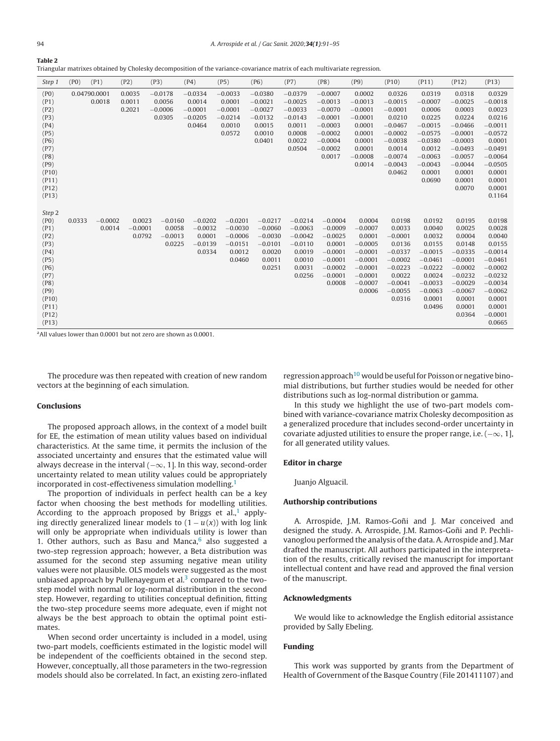<span id="page-3-0"></span>

Triangular matrixes obtained by Cholesky decomposition of the variance-covariance matrix of each multivariate regression.

| Step 1                                                                                                                     | (PO)   | (P1)                   | (P2)                          | (P3)                                       | (P4)                                                    | (P5)                                                                 | (P6)                                                                           | (P7)                                                                                     | (P8)                                                                                                           | (P9)                                                                                                                  | (P10)                                                                                                                           | (P11)                                                                                                                                  | (P12)                                                                                                                                               | (P13)                                                                                                                                                         |
|----------------------------------------------------------------------------------------------------------------------------|--------|------------------------|-------------------------------|--------------------------------------------|---------------------------------------------------------|----------------------------------------------------------------------|--------------------------------------------------------------------------------|------------------------------------------------------------------------------------------|----------------------------------------------------------------------------------------------------------------|-----------------------------------------------------------------------------------------------------------------------|---------------------------------------------------------------------------------------------------------------------------------|----------------------------------------------------------------------------------------------------------------------------------------|-----------------------------------------------------------------------------------------------------------------------------------------------------|---------------------------------------------------------------------------------------------------------------------------------------------------------------|
| (PO)<br>(P1)<br>(P2)<br>(P3)<br>(P4)<br>(P5)<br>(P6)<br>(P7)<br>(P8)<br>(P9)<br>(P10)<br>(P11)<br>(P12)<br>(P13)           |        | 0.04790.0001<br>0.0018 | 0.0035<br>0.0011<br>0.2021    | $-0.0178$<br>0.0056<br>$-0.0006$<br>0.0305 | $-0.0334$<br>0.0014<br>$-0.0001$<br>$-0.0205$<br>0.0464 | $-0.0033$<br>0.0001<br>$-0.0001$<br>$-0.0214$<br>0.0010<br>0.0572    | $-0.0380$<br>$-0.0021$<br>$-0.0027$<br>$-0.0132$<br>0.0015<br>0.0010<br>0.0401 | $-0.0379$<br>$-0.0025$<br>$-0.0033$<br>$-0.0143$<br>0.0011<br>0.0008<br>0.0022<br>0.0504 | $-0.0007$<br>$-0.0013$<br>$-0.0070$<br>$-0.0001$<br>$-0.0003$<br>$-0.0002$<br>$-0.0004$<br>$-0.0002$<br>0.0017 | 0.0002<br>$-0.0013$<br>$-0.0001$<br>$-0.0001$<br>0.0001<br>0.0001<br>0.0001<br>0.0001<br>$-0.0008$<br>0.0014          | 0.0326<br>$-0.0015$<br>$-0.0001$<br>0.0210<br>$-0.0467$<br>$-0.0002$<br>$-0.0038$<br>0.0014<br>$-0.0074$<br>$-0.0043$<br>0.0462 | 0.0319<br>$-0.0007$<br>0.0006<br>0.0225<br>$-0.0015$<br>$-0.0575$<br>$-0.0380$<br>0.0012<br>$-0.0063$<br>$-0.0043$<br>0.0001<br>0.0690 | 0.0318<br>$-0.0025$<br>0.0003<br>0.0224<br>$-0.0466$<br>$-0.0001$<br>$-0.0003$<br>$-0.0493$<br>$-0.0057$<br>$-0.0044$<br>0.0001<br>0.0001<br>0.0070 | 0.0329<br>$-0.0018$<br>0.0023<br>0.0216<br>$-0.0011$<br>$-0.0572$<br>0.0001<br>$-0.0491$<br>$-0.0064$<br>$-0.0505$<br>0.0001<br>0.0001<br>0.0001<br>0.1164    |
| Step 2<br>(PO)<br>(P1)<br>(P2)<br>(P3)<br>(P4)<br>(P5)<br>(P6)<br>(P7)<br>(P8)<br>(P9)<br>(P10)<br>(P11)<br>(P12)<br>(P13) | 0.0333 | $-0.0002$<br>0.0014    | 0.0023<br>$-0.0001$<br>0.0792 | $-0.0160$<br>0.0058<br>$-0.0013$<br>0.0225 | $-0.0202$<br>$-0.0032$<br>0.0001<br>$-0.0139$<br>0.0334 | $-0.0201$<br>$-0.0030$<br>$-0.0006$<br>$-0.0151$<br>0.0012<br>0.0460 | $-0.0217$<br>$-0.0060$<br>$-0.0030$<br>$-0.0101$<br>0.0020<br>0.0011<br>0.0251 | $-0.0214$<br>$-0.0063$<br>$-0.0042$<br>$-0.0110$<br>0.0019<br>0.0010<br>0.0031<br>0.0256 | $-0.0004$<br>$-0.0009$<br>$-0.0025$<br>0.0001<br>$-0.0001$<br>$-0.0001$<br>$-0.0002$<br>$-0.0001$<br>0.0008    | 0.0004<br>$-0.0007$<br>0.0001<br>$-0.0005$<br>$-0.0001$<br>$-0.0001$<br>$-0.0001$<br>$-0.0001$<br>$-0.0007$<br>0.0006 | 0.0198<br>0.0033<br>$-0.0001$<br>0.0136<br>$-0.0337$<br>$-0.0002$<br>$-0.0223$<br>0.0022<br>$-0.0041$<br>$-0.0055$<br>0.0316    | 0.0192<br>0.0040<br>0.0032<br>0.0155<br>$-0.0015$<br>$-0.0461$<br>$-0.0222$<br>0.0024<br>$-0.0033$<br>$-0.0063$<br>0.0001<br>0.0496    | 0.0195<br>0.0025<br>0.0004<br>0.0148<br>$-0.0335$<br>$-0.0001$<br>$-0.0002$<br>$-0.0232$<br>$-0.0029$<br>$-0.0067$<br>0.0001<br>0.0001<br>0.0364    | 0.0198<br>0.0028<br>0.0040<br>0.0155<br>$-0.0014$<br>$-0.0461$<br>$-0.0002$<br>$-0.0232$<br>$-0.0034$<br>$-0.0062$<br>0.0001<br>0.0001<br>$-0.0001$<br>0.0665 |

aAll values lower than 0.0001 but not zero are shown as 0.0001.

The procedure was then repeated with creation of new random vectors at the beginning of each simulation.

#### **Conclusions**

The proposed approach allows, in the context of a model built for EE, the estimation of mean utility values based on individual characteristics. At the same time, it permits the inclusion of the associated uncertainty and ensures that the estimated value will always decrease in the interval  $(-\infty, 1]$ . In this way, second-order uncertainty related to mean utility values could be appropriately incorporated in cost-effectiveness simulation modelling.<sup>[1](#page-4-0)</sup>

The proportion of individuals in perfect health can be a key factor when choosing the best methods for modelling utilities. According to the approach proposed by Briggs et al.,<sup>1</sup> applying directly generalized linear models to  $(1 - u(x))$  with log link will only be appropriate when individuals utility is lower than 1. Other authors, such as Basu and Manca, $6$  also suggested a two-step regression approach; however, a Beta distribution was assumed for the second step assuming negative mean utility values were not plausible. OLS models were suggested as the most unbiased approach by Pullenayegum et al. $3$  compared to the twostep model with normal or log-normal distribution in the second step. However, regarding to utilities conceptual definition, fitting the two-step procedure seems more adequate, even if might not always be the best approach to obtain the optimal point estimates.

When second order uncertainty is included in a model, using two-part models, coefficients estimated in the logistic model will be independent of the coefficients obtained in the second step. However, conceptually, all those parameters in the two-regression models should also be correlated. In fact, an existing zero-inflated

regression approach<sup>[10](#page-4-0)</sup> would be useful for Poisson or negative binomial distributions, but further studies would be needed for other distributions such as log-normal distribution or gamma.

In this study we highlight the use of two-part models combined with variance-covariance matrix Cholesky decomposition as a generalized procedure that includes second-order uncertainty in covariate adjusted utilities to ensure the proper range, i.e.  $(-\infty, 1]$ , for all generated utility values.

#### **Editor in charge**

Juanjo Alguacil.

#### **Authorship contributions**

A. Arrospide, J.M. Ramos-Goñi and J. Mar conceived and designed the study. A. Arrospide, J.M. Ramos-Goñi and P. Pechlivanoglou performed the analysis ofthe data. A. Arrospide and J. Mar drafted the manuscript. All authors participated in the interpretation of the results, critically revised the manuscript for important intellectual content and have read and approved the final version of the manuscript.

### **Acknowledgments**

We would like to acknowledge the English editorial assistance provided by Sally Ebeling.

#### **Funding**

This work was supported by grants from the Department of Health of Government of the Basque Country (File 201411107) and